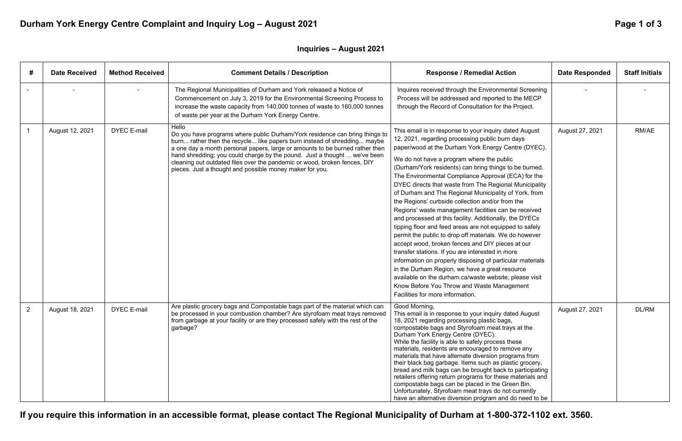**If you require this information in an accessible format, please contact The Regional Municipality of Durham at 1-800-372-1102 ext. 3560.** 

# Durham York Energy Centre Complaint and Inquiry Log - August 2021 **Page 1 of 3** Page 1 of 3

| #   | <b>Date Received</b> | <b>Method Received</b> | <b>Comment Details / Description</b>                                                                                                                                                                                                                                                                                                                                                                                                                                   | <b>Response / Remedial Action</b>                                                                                                                                                                                                                                                                                                                                                                                                                                                                                                                                                                                                                                                                                                                                                                                                                                                                                                                                                                                                                                                                                | <b>Date Responded</b> | <b>Staff Initials</b> |
|-----|----------------------|------------------------|------------------------------------------------------------------------------------------------------------------------------------------------------------------------------------------------------------------------------------------------------------------------------------------------------------------------------------------------------------------------------------------------------------------------------------------------------------------------|------------------------------------------------------------------------------------------------------------------------------------------------------------------------------------------------------------------------------------------------------------------------------------------------------------------------------------------------------------------------------------------------------------------------------------------------------------------------------------------------------------------------------------------------------------------------------------------------------------------------------------------------------------------------------------------------------------------------------------------------------------------------------------------------------------------------------------------------------------------------------------------------------------------------------------------------------------------------------------------------------------------------------------------------------------------------------------------------------------------|-----------------------|-----------------------|
|     |                      |                        | The Regional Municipalities of Durham and York released a Notice of<br>Commencement on July 3, 2019 for the Environmental Screening Process to<br>increase the waste capacity from 140,000 tonnes of waste to 160,000 tonnes<br>of waste per year at the Durham York Energy Centre.                                                                                                                                                                                    | Inquires received through the Environmental Screening<br>Process will be addressed and reported to the MECP<br>through the Record of Consultation for the Project.                                                                                                                                                                                                                                                                                                                                                                                                                                                                                                                                                                                                                                                                                                                                                                                                                                                                                                                                               |                       |                       |
| - 1 | August 12, 2021      | <b>DYEC E-mail</b>     | Hello<br>Do you have programs where public Durham/York residence can bring things to<br>burn rather then the recycle like papers burn instead of shredding maybe<br>a one day a month personal papers, large or amounts to be burned rather then<br>hand shredding; you could charge by the pound. Just a thought  we've been<br>cleaning out outdated files over the pandemic or wood, broken fences, DIY<br>pieces. Just a thought and possible money maker for you. | This email is in response to your inquiry dated August<br>12, 2021, regarding processing public burn days<br>paper/wood at the Durham York Energy Centre (DYEC).<br>We do not have a program where the public<br>(Durham/York residents) can bring things to be burned.<br>The Environmental Compliance Approval (ECA) for the<br>DYEC directs that waste from The Regional Municipality<br>of Durham and The Regional Municipality of York, from<br>the Regions' curbside collection and/or from the<br>Regions' waste management facilities can be received<br>and processed at this facility. Additionally, the DYECs<br>tipping floor and feed areas are not equipped to safely<br>permit the public to drop off materials. We do however<br>accept wood, broken fences and DIY pieces at our<br>transfer stations. If you are interested in more<br>information on properly disposing of particular materials<br>in the Durham Region, we have a great resource<br>available on the durham.ca/waste website; please visit<br>Know Before You Throw and Waste Management<br>Facilities for more information. | August 27, 2021       | RM/AE                 |
|     | August 18, 2021      | <b>DYEC E-mail</b>     | Are plastic grocery bags and Compostable bags part of the material which can<br>be processed in your combustion chamber? Are styrofoam meat trays removed<br>from garbage at your facility or are they processed safely with the rest of the<br>garbage?                                                                                                                                                                                                               | Good Morning,<br>This email is in response to your inquiry dated August<br>18, 2021 regarding processing plastic bags,<br>compostable bags and Styrofoam meat trays at the<br>Durham York Energy Centre (DYEC).<br>While the facility is able to safely process these<br>materials, residents are encouraged to remove any<br>materials that have alternate diversion programs from<br>their black bag garbage. Items such as plastic grocery,<br>bread and milk bags can be brought back to participating<br>retailers offering return programs for these materials and<br>compostable bags can be placed in the Green Bin.<br>Unfortunately, Styrofoam meat trays do not currently<br>have an alternative diversion program and do need to be                                                                                                                                                                                                                                                                                                                                                                  | August 27, 2021       | DL/RM                 |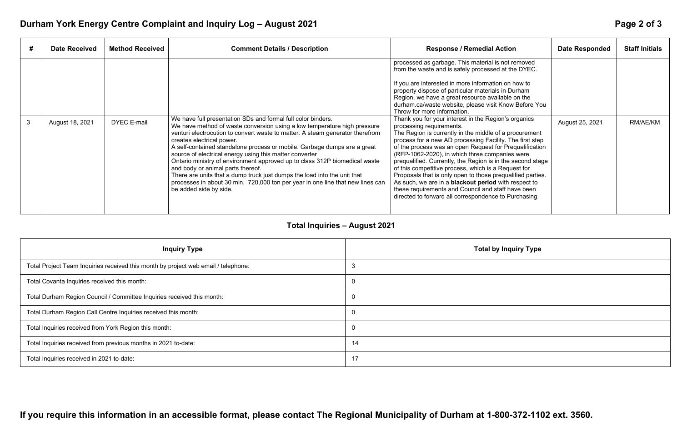## **Inquiry Type**

# Durham York Energy Centre Complaint and Inquiry Log - August 2021 **Page 2 of 3** Page 2 of 3

|              | <b>Date Received</b> | <b>Method Received</b> | <b>Comment Details / Description</b>                                                                                                                                                                                                                                                                                                                                                                                                                                                                                                                                                                                                                                                                     | <b>Response / Remedial Action</b>                                                                                                                                                                                                                                                                                                                                                                                                                                                                                                                                                                                                                                                    | <b>Date Responded</b> | <b>Staff Initials</b> |
|--------------|----------------------|------------------------|----------------------------------------------------------------------------------------------------------------------------------------------------------------------------------------------------------------------------------------------------------------------------------------------------------------------------------------------------------------------------------------------------------------------------------------------------------------------------------------------------------------------------------------------------------------------------------------------------------------------------------------------------------------------------------------------------------|--------------------------------------------------------------------------------------------------------------------------------------------------------------------------------------------------------------------------------------------------------------------------------------------------------------------------------------------------------------------------------------------------------------------------------------------------------------------------------------------------------------------------------------------------------------------------------------------------------------------------------------------------------------------------------------|-----------------------|-----------------------|
|              |                      |                        |                                                                                                                                                                                                                                                                                                                                                                                                                                                                                                                                                                                                                                                                                                          | processed as garbage. This material is not removed<br>from the waste and is safely processed at the DYEC.                                                                                                                                                                                                                                                                                                                                                                                                                                                                                                                                                                            |                       |                       |
|              |                      |                        |                                                                                                                                                                                                                                                                                                                                                                                                                                                                                                                                                                                                                                                                                                          | If you are interested in more information on how to<br>property dispose of particular materials in Durham<br>Region, we have a great resource available on the<br>durham.ca/waste website, please visit Know Before You<br>Throw for more information.                                                                                                                                                                                                                                                                                                                                                                                                                               |                       |                       |
| $\mathbf{3}$ | August 18, 2021      | <b>DYEC E-mail</b>     | We have full presentation SDs and formal full color binders.<br>We have method of waste conversion using a low temperature high pressure<br>venturi electrocution to convert waste to matter. A steam generator therefrom<br>creates electrical power.<br>A self-contained standalone process or mobile. Garbage dumps are a great<br>source of electrical energy using this matter converter<br>Ontario ministry of environment approved up to class 312P biomedical waste<br>and body or animal parts thereof.<br>There are units that a dump truck just dumps the load into the unit that<br>processes in about 30 min. 720,000 ton per year in one line that new lines can<br>be added side by side. | Thank you for your interest in the Region's organics<br>processing requirements.<br>The Region is currently in the middle of a procurement<br>process for a new AD processing Facility. The first step<br>of the process was an open Request for Prequalification<br>(RFP-1062-2020), in which three companies were<br>prequalified. Currently, the Region is in the second stage<br>of this competitive process, which is a Request for<br>Proposals that is only open to those prequalified parties.<br>As such, we are in a <b>blackout period</b> with respect to<br>these requirements and Council and staff have been<br>directed to forward all correspondence to Purchasing. | August 25, 2021       | RM/AE/KM              |

## **Total Inquiries – August 2021**

| <b>Inquiry Type</b>                                                                | Total by I     |
|------------------------------------------------------------------------------------|----------------|
| Total Project Team Inquiries received this month by project web email / telephone: | 3              |
| Total Covanta Inquiries received this month:                                       | $\overline{0}$ |
| Total Durham Region Council / Committee Inquiries received this month:             | $\overline{0}$ |
| Total Durham Region Call Centre Inquiries received this month:                     | $\overline{0}$ |
| Total Inquiries received from York Region this month:                              | $\overline{0}$ |
| Total Inquiries received from previous months in 2021 to-date:                     | 14             |
| Total Inquiries received in 2021 to-date:                                          | 17             |